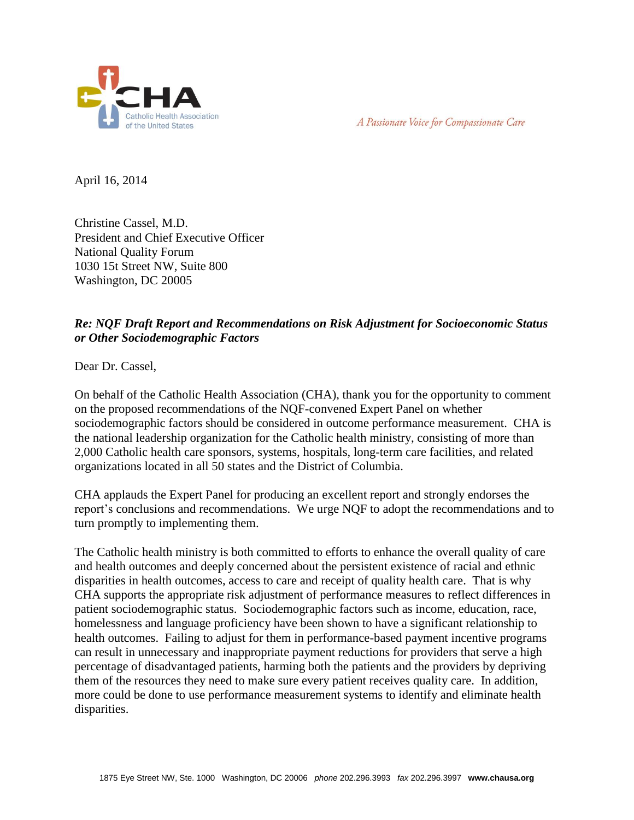

A Passionate Voice for Compassionate Care

April 16, 2014

Christine Cassel, M.D. President and Chief Executive Officer National Quality Forum 1030 15t Street NW, Suite 800 Washington, DC 20005

## *Re: NQF Draft Report and Recommendations on Risk Adjustment for Socioeconomic Status or Other Sociodemographic Factors*

Dear Dr. Cassel,

On behalf of the Catholic Health Association (CHA), thank you for the opportunity to comment on the proposed recommendations of the NQF-convened Expert Panel on whether sociodemographic factors should be considered in outcome performance measurement. CHA is the national leadership organization for the Catholic health ministry, consisting of more than 2,000 Catholic health care sponsors, systems, hospitals, long-term care facilities, and related organizations located in all 50 states and the District of Columbia.

CHA applauds the Expert Panel for producing an excellent report and strongly endorses the report's conclusions and recommendations. We urge NQF to adopt the recommendations and to turn promptly to implementing them.

The Catholic health ministry is both committed to efforts to enhance the overall quality of care and health outcomes and deeply concerned about the persistent existence of racial and ethnic disparities in health outcomes, access to care and receipt of quality health care. That is why CHA supports the appropriate risk adjustment of performance measures to reflect differences in patient sociodemographic status. Sociodemographic factors such as income, education, race, homelessness and language proficiency have been shown to have a significant relationship to health outcomes. Failing to adjust for them in performance-based payment incentive programs can result in unnecessary and inappropriate payment reductions for providers that serve a high percentage of disadvantaged patients, harming both the patients and the providers by depriving them of the resources they need to make sure every patient receives quality care. In addition, more could be done to use performance measurement systems to identify and eliminate health disparities.